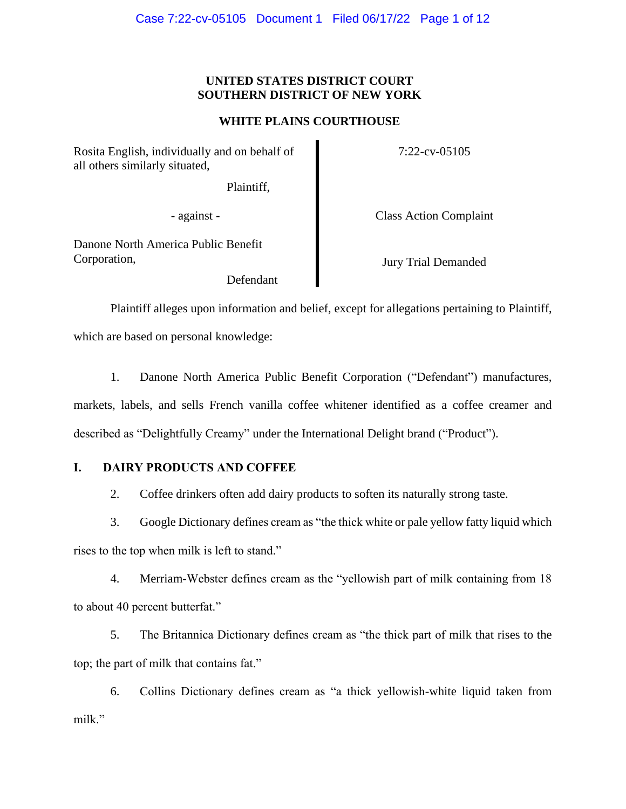## **UNITED STATES DISTRICT COURT SOUTHERN DISTRICT OF NEW YORK**

## **WHITE PLAINS COURTHOUSE**

Rosita English, individually and on behalf of all others similarly situated,

Plaintiff,

7:22-cv-05105

- against - Class Action Complaint

Danone North America Public Benefit Corporation,

Defendant

Jury Trial Demanded

Plaintiff alleges upon information and belief, except for allegations pertaining to Plaintiff,

which are based on personal knowledge:

1. Danone North America Public Benefit Corporation ("Defendant") manufactures,

markets, labels, and sells French vanilla coffee whitener identified as a coffee creamer and described as "Delightfully Creamy" under the International Delight brand ("Product").

## **I. DAIRY PRODUCTS AND COFFEE**

2. Coffee drinkers often add dairy products to soften its naturally strong taste.

3. Google Dictionary defines cream as "the thick white or pale yellow fatty liquid which rises to the top when milk is left to stand."

4. Merriam-Webster defines cream as the "yellowish part of milk containing from 18 to about 40 percent butterfat."

5. The Britannica Dictionary defines cream as "the thick part of milk that rises to the top; the part of milk that contains fat."

6. Collins Dictionary defines cream as "a thick yellowish-white liquid taken from milk."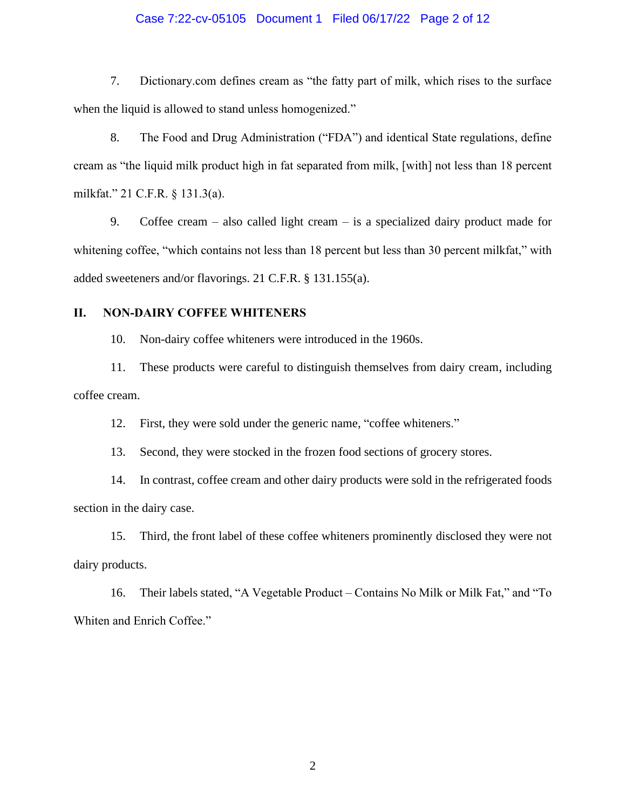#### Case 7:22-cv-05105 Document 1 Filed 06/17/22 Page 2 of 12

7. Dictionary.com defines cream as "the fatty part of milk, which rises to the surface when the liquid is allowed to stand unless homogenized."

8. The Food and Drug Administration ("FDA") and identical State regulations, define cream as "the liquid milk product high in fat separated from milk, [with] not less than 18 percent milkfat." 21 C.F.R. § 131.3(a).

9. Coffee cream – also called light cream – is a specialized dairy product made for whitening coffee, "which contains not less than 18 percent but less than 30 percent milkfat," with added sweeteners and/or flavorings. 21 C.F.R. § 131.155(a).

## **II. NON-DAIRY COFFEE WHITENERS**

10. Non-dairy coffee whiteners were introduced in the 1960s.

11. These products were careful to distinguish themselves from dairy cream, including coffee cream.

12. First, they were sold under the generic name, "coffee whiteners."

13. Second, they were stocked in the frozen food sections of grocery stores.

14. In contrast, coffee cream and other dairy products were sold in the refrigerated foods section in the dairy case.

15. Third, the front label of these coffee whiteners prominently disclosed they were not dairy products.

16. Their labels stated, "A Vegetable Product – Contains No Milk or Milk Fat," and "To Whiten and Enrich Coffee."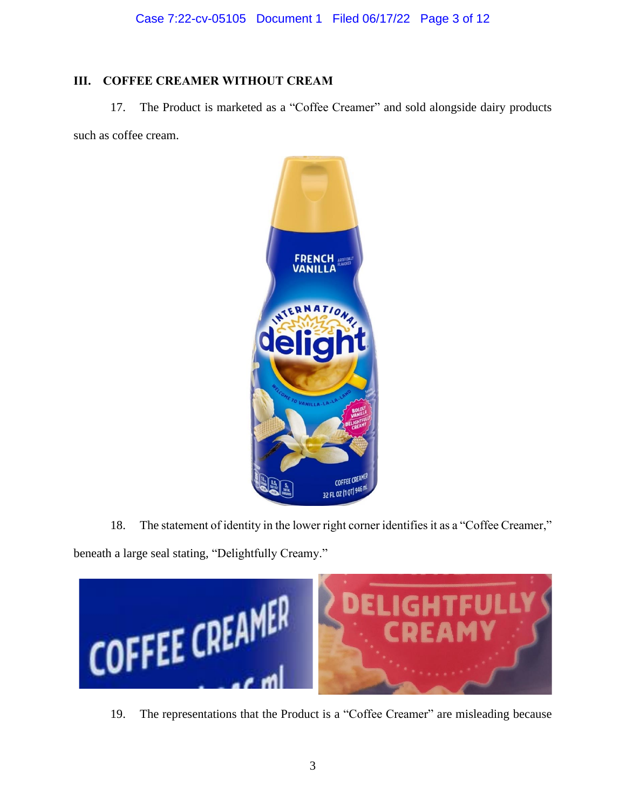# **III. COFFEE CREAMER WITHOUT CREAM**

17. The Product is marketed as a "Coffee Creamer" and sold alongside dairy products such as coffee cream.



18. The statement of identity in the lower right corner identifies it as a "Coffee Creamer,"

beneath a large seal stating, "Delightfully Creamy."



19. The representations that the Product is a "Coffee Creamer" are misleading because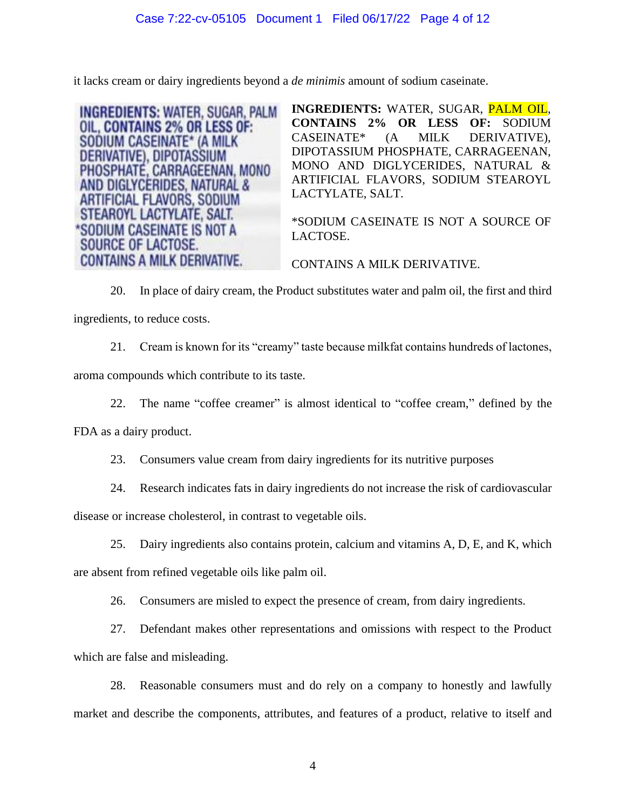it lacks cream or dairy ingredients beyond a *de minimis* amount of sodium caseinate.

**INGREDIENTS: WATER, SUGAR, PALM** OIL, CONTAINS 2% OR LESS OF: SODIUM CASEINATE\* (A MILK) DERIVATIVE), DIPOTASSIUM PHOSPHATE, CARRAGEENAN, MONO AND DIGLYCERIDES, NATURAL & ARTIFICIAL FLAVORS, SODIUM STEAROYL LACTYLATE, SALT. \*SODIUM CASEINATE IS NOT A SOURCE OF LACTOSE. **CONTAINS A MILK DERIVATIVE.** 

**INGREDIENTS:** WATER, SUGAR, PALM OIL, **CONTAINS 2% OR LESS OF:** SODIUM CASEINATE\* (A MILK DERIVATIVE), DIPOTASSIUM PHOSPHATE, CARRAGEENAN, MONO AND DIGLYCERIDES, NATURAL & ARTIFICIAL FLAVORS, SODIUM STEAROYL LACTYLATE, SALT.

\*SODIUM CASEINATE IS NOT A SOURCE OF LACTOSE.

CONTAINS A MILK DERIVATIVE.

20. In place of dairy cream, the Product substitutes water and palm oil, the first and third ingredients, to reduce costs.

21. Cream is known for its "creamy" taste because milkfat contains hundreds of lactones,

aroma compounds which contribute to its taste.

22. The name "coffee creamer" is almost identical to "coffee cream," defined by the

FDA as a dairy product.

23. Consumers value cream from dairy ingredients for its nutritive purposes

24. Research indicates fats in dairy ingredients do not increase the risk of cardiovascular

disease or increase cholesterol, in contrast to vegetable oils.

25. Dairy ingredients also contains protein, calcium and vitamins A, D, E, and K, which

are absent from refined vegetable oils like palm oil.

26. Consumers are misled to expect the presence of cream, from dairy ingredients.

27. Defendant makes other representations and omissions with respect to the Product which are false and misleading.

28. Reasonable consumers must and do rely on a company to honestly and lawfully market and describe the components, attributes, and features of a product, relative to itself and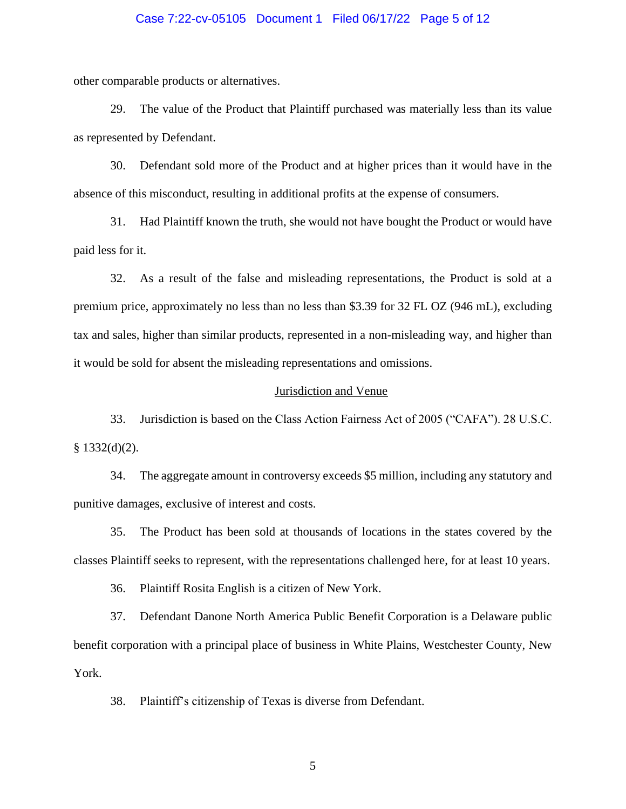# Case 7:22-cv-05105 Document 1 Filed 06/17/22 Page 5 of 12

other comparable products or alternatives.

29. The value of the Product that Plaintiff purchased was materially less than its value as represented by Defendant.

30. Defendant sold more of the Product and at higher prices than it would have in the absence of this misconduct, resulting in additional profits at the expense of consumers.

31. Had Plaintiff known the truth, she would not have bought the Product or would have paid less for it.

32. As a result of the false and misleading representations, the Product is sold at a premium price, approximately no less than no less than \$3.39 for 32 FL OZ (946 mL), excluding tax and sales, higher than similar products, represented in a non-misleading way, and higher than it would be sold for absent the misleading representations and omissions.

#### Jurisdiction and Venue

33. Jurisdiction is based on the Class Action Fairness Act of 2005 ("CAFA"). 28 U.S.C.  $§$  1332(d)(2).

34. The aggregate amount in controversy exceeds \$5 million, including any statutory and punitive damages, exclusive of interest and costs.

35. The Product has been sold at thousands of locations in the states covered by the classes Plaintiff seeks to represent, with the representations challenged here, for at least 10 years.

36. Plaintiff Rosita English is a citizen of New York.

37. Defendant Danone North America Public Benefit Corporation is a Delaware public benefit corporation with a principal place of business in White Plains, Westchester County, New York.

38. Plaintiff's citizenship of Texas is diverse from Defendant.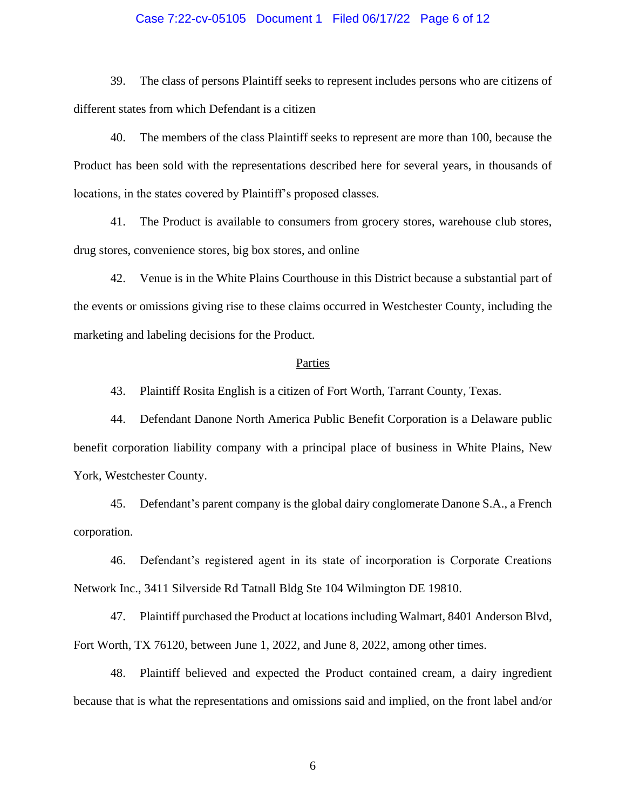#### Case 7:22-cv-05105 Document 1 Filed 06/17/22 Page 6 of 12

39. The class of persons Plaintiff seeks to represent includes persons who are citizens of different states from which Defendant is a citizen

40. The members of the class Plaintiff seeks to represent are more than 100, because the Product has been sold with the representations described here for several years, in thousands of locations, in the states covered by Plaintiff's proposed classes.

41. The Product is available to consumers from grocery stores, warehouse club stores, drug stores, convenience stores, big box stores, and online

42. Venue is in the White Plains Courthouse in this District because a substantial part of the events or omissions giving rise to these claims occurred in Westchester County, including the marketing and labeling decisions for the Product.

#### **Parties**

43. Plaintiff Rosita English is a citizen of Fort Worth, Tarrant County, Texas.

44. Defendant Danone North America Public Benefit Corporation is a Delaware public benefit corporation liability company with a principal place of business in White Plains, New York, Westchester County.

45. Defendant's parent company is the global dairy conglomerate Danone S.A., a French corporation.

46. Defendant's registered agent in its state of incorporation is Corporate Creations Network Inc., 3411 Silverside Rd Tatnall Bldg Ste 104 Wilmington DE 19810.

47. Plaintiff purchased the Product at locations including Walmart, 8401 Anderson Blvd, Fort Worth, TX 76120, between June 1, 2022, and June 8, 2022, among other times.

48. Plaintiff believed and expected the Product contained cream, a dairy ingredient because that is what the representations and omissions said and implied, on the front label and/or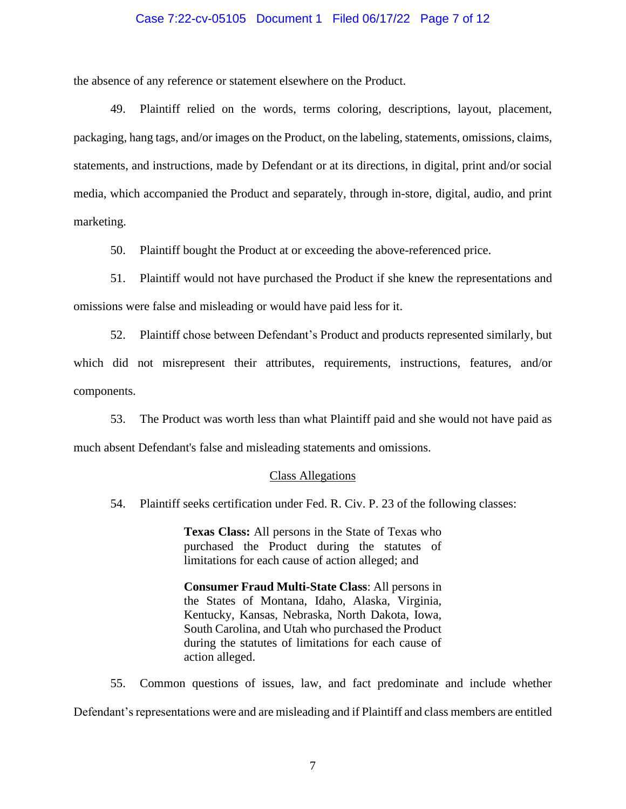#### Case 7:22-cv-05105 Document 1 Filed 06/17/22 Page 7 of 12

the absence of any reference or statement elsewhere on the Product.

49. Plaintiff relied on the words, terms coloring, descriptions, layout, placement, packaging, hang tags, and/or images on the Product, on the labeling, statements, omissions, claims, statements, and instructions, made by Defendant or at its directions, in digital, print and/or social media, which accompanied the Product and separately, through in-store, digital, audio, and print marketing.

50. Plaintiff bought the Product at or exceeding the above-referenced price.

51. Plaintiff would not have purchased the Product if she knew the representations and omissions were false and misleading or would have paid less for it.

52. Plaintiff chose between Defendant's Product and products represented similarly, but which did not misrepresent their attributes, requirements, instructions, features, and/or components.

53. The Product was worth less than what Plaintiff paid and she would not have paid as much absent Defendant's false and misleading statements and omissions.

#### Class Allegations

54. Plaintiff seeks certification under Fed. R. Civ. P. 23 of the following classes:

**Texas Class:** All persons in the State of Texas who purchased the Product during the statutes of limitations for each cause of action alleged; and

**Consumer Fraud Multi-State Class**: All persons in the States of Montana, Idaho, Alaska, Virginia, Kentucky, Kansas, Nebraska, North Dakota, Iowa, South Carolina, and Utah who purchased the Product during the statutes of limitations for each cause of action alleged.

55. Common questions of issues, law, and fact predominate and include whether Defendant's representations were and are misleading and if Plaintiff and class members are entitled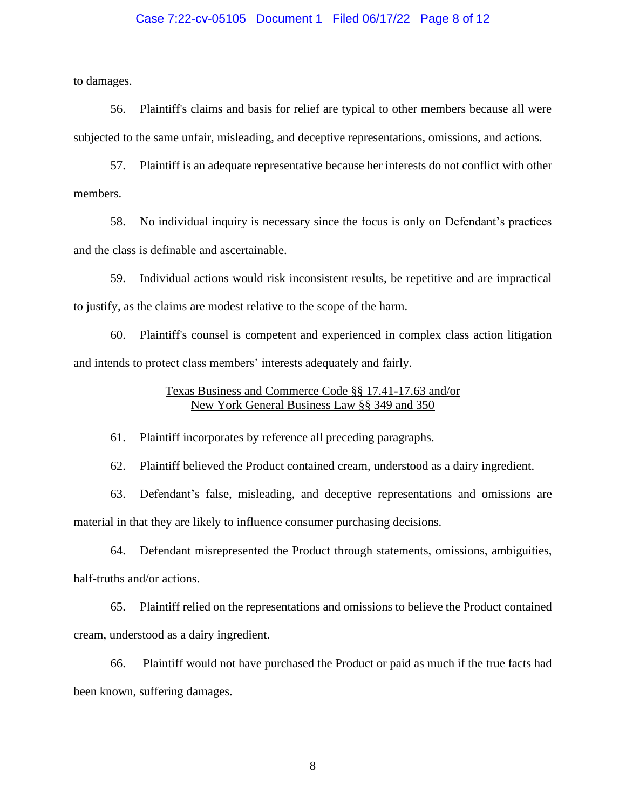#### Case 7:22-cv-05105 Document 1 Filed 06/17/22 Page 8 of 12

to damages.

56. Plaintiff's claims and basis for relief are typical to other members because all were subjected to the same unfair, misleading, and deceptive representations, omissions, and actions.

57. Plaintiff is an adequate representative because her interests do not conflict with other members.

58. No individual inquiry is necessary since the focus is only on Defendant's practices and the class is definable and ascertainable.

59. Individual actions would risk inconsistent results, be repetitive and are impractical to justify, as the claims are modest relative to the scope of the harm.

60. Plaintiff's counsel is competent and experienced in complex class action litigation and intends to protect class members' interests adequately and fairly.

## Texas Business and Commerce Code §§ 17.41-17.63 and/or New York General Business Law §§ 349 and 350

61. Plaintiff incorporates by reference all preceding paragraphs.

62. Plaintiff believed the Product contained cream, understood as a dairy ingredient.

63. Defendant's false, misleading, and deceptive representations and omissions are material in that they are likely to influence consumer purchasing decisions.

64. Defendant misrepresented the Product through statements, omissions, ambiguities, half-truths and/or actions.

65. Plaintiff relied on the representations and omissions to believe the Product contained cream, understood as a dairy ingredient.

66. Plaintiff would not have purchased the Product or paid as much if the true facts had been known, suffering damages.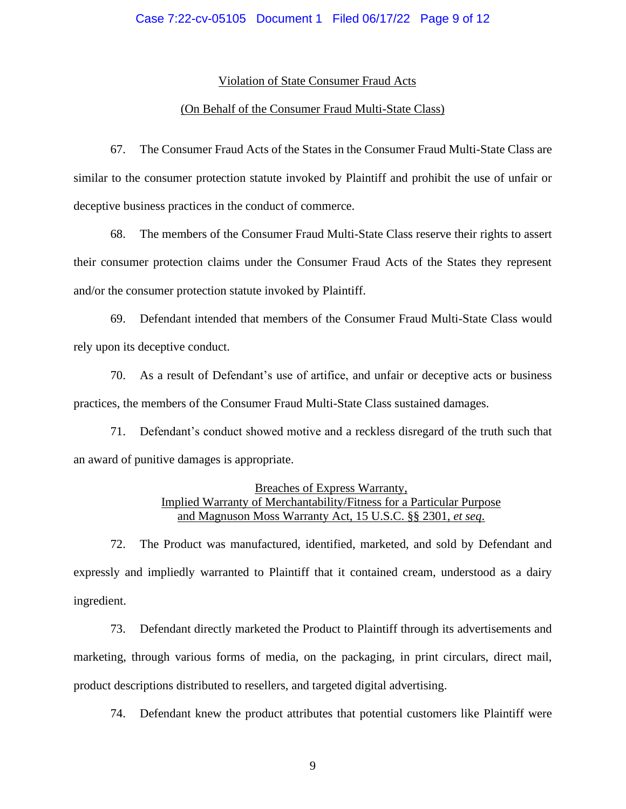## Violation of State Consumer Fraud Acts

## (On Behalf of the Consumer Fraud Multi-State Class)

67. The Consumer Fraud Acts of the States in the Consumer Fraud Multi-State Class are similar to the consumer protection statute invoked by Plaintiff and prohibit the use of unfair or deceptive business practices in the conduct of commerce.

68. The members of the Consumer Fraud Multi-State Class reserve their rights to assert their consumer protection claims under the Consumer Fraud Acts of the States they represent and/or the consumer protection statute invoked by Plaintiff.

69. Defendant intended that members of the Consumer Fraud Multi-State Class would rely upon its deceptive conduct.

70. As a result of Defendant's use of artifice, and unfair or deceptive acts or business practices, the members of the Consumer Fraud Multi-State Class sustained damages.

71. Defendant's conduct showed motive and a reckless disregard of the truth such that an award of punitive damages is appropriate.

## Breaches of Express Warranty, Implied Warranty of Merchantability/Fitness for a Particular Purpose and Magnuson Moss Warranty Act, 15 U.S.C. §§ 2301, *et seq*.

72. The Product was manufactured, identified, marketed, and sold by Defendant and expressly and impliedly warranted to Plaintiff that it contained cream, understood as a dairy ingredient.

73. Defendant directly marketed the Product to Plaintiff through its advertisements and marketing, through various forms of media, on the packaging, in print circulars, direct mail, product descriptions distributed to resellers, and targeted digital advertising.

74. Defendant knew the product attributes that potential customers like Plaintiff were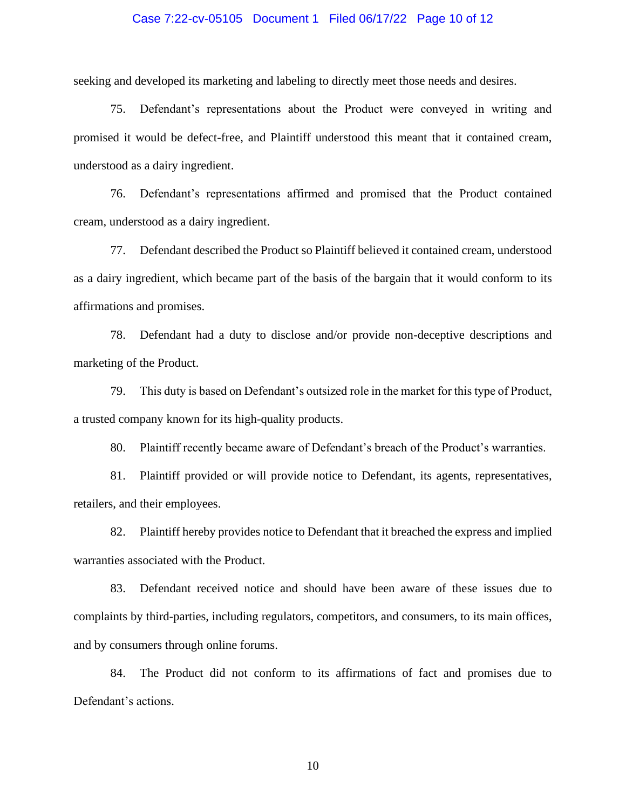#### Case 7:22-cv-05105 Document 1 Filed 06/17/22 Page 10 of 12

seeking and developed its marketing and labeling to directly meet those needs and desires.

75. Defendant's representations about the Product were conveyed in writing and promised it would be defect-free, and Plaintiff understood this meant that it contained cream, understood as a dairy ingredient.

76. Defendant's representations affirmed and promised that the Product contained cream, understood as a dairy ingredient.

77. Defendant described the Product so Plaintiff believed it contained cream, understood as a dairy ingredient, which became part of the basis of the bargain that it would conform to its affirmations and promises.

78. Defendant had a duty to disclose and/or provide non-deceptive descriptions and marketing of the Product.

79. This duty is based on Defendant's outsized role in the market for this type of Product, a trusted company known for its high-quality products.

80. Plaintiff recently became aware of Defendant's breach of the Product's warranties.

81. Plaintiff provided or will provide notice to Defendant, its agents, representatives, retailers, and their employees.

82. Plaintiff hereby provides notice to Defendant that it breached the express and implied warranties associated with the Product.

83. Defendant received notice and should have been aware of these issues due to complaints by third-parties, including regulators, competitors, and consumers, to its main offices, and by consumers through online forums.

84. The Product did not conform to its affirmations of fact and promises due to Defendant's actions.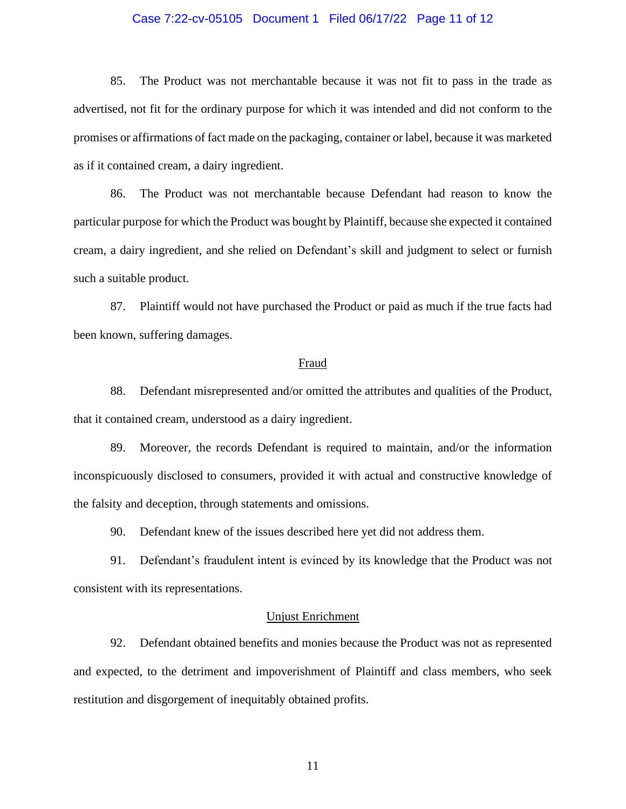#### Case 7:22-cv-05105 Document 1 Filed 06/17/22 Page 11 of 12

85. The Product was not merchantable because it was not fit to pass in the trade as advertised, not fit for the ordinary purpose for which it was intended and did not conform to the promises or affirmations of fact made on the packaging, container or label, because it was marketed as if it contained cream, a dairy ingredient.

86. The Product was not merchantable because Defendant had reason to know the particular purpose for which the Product was bought by Plaintiff, because she expected it contained cream, a dairy ingredient, and she relied on Defendant's skill and judgment to select or furnish such a suitable product.

87. Plaintiff would not have purchased the Product or paid as much if the true facts had been known, suffering damages.

#### Fraud

88. Defendant misrepresented and/or omitted the attributes and qualities of the Product, that it contained cream, understood as a dairy ingredient.

89. Moreover, the records Defendant is required to maintain, and/or the information inconspicuously disclosed to consumers, provided it with actual and constructive knowledge of the falsity and deception, through statements and omissions.

90. Defendant knew of the issues described here yet did not address them.

91. Defendant's fraudulent intent is evinced by its knowledge that the Product was not consistent with its representations.

### Unjust Enrichment

92. Defendant obtained benefits and monies because the Product was not as represented and expected, to the detriment and impoverishment of Plaintiff and class members, who seek restitution and disgorgement of inequitably obtained profits.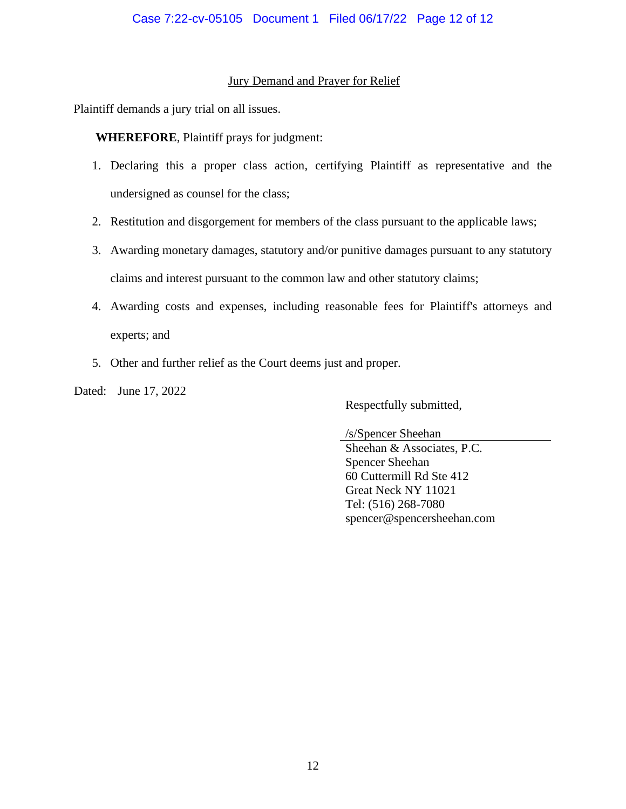# Jury Demand and Prayer for Relief

Plaintiff demands a jury trial on all issues.

**WHEREFORE**, Plaintiff prays for judgment:

- 1. Declaring this a proper class action, certifying Plaintiff as representative and the undersigned as counsel for the class;
- 2. Restitution and disgorgement for members of the class pursuant to the applicable laws;
- 3. Awarding monetary damages, statutory and/or punitive damages pursuant to any statutory claims and interest pursuant to the common law and other statutory claims;
- 4. Awarding costs and expenses, including reasonable fees for Plaintiff's attorneys and experts; and
- 5. Other and further relief as the Court deems just and proper.

Dated: June 17, 2022

Respectfully submitted,

/s/Spencer Sheehan

Sheehan & Associates, P.C. Spencer Sheehan 60 Cuttermill Rd Ste 412 Great Neck NY 11021 Tel: (516) 268-7080 spencer@spencersheehan.com